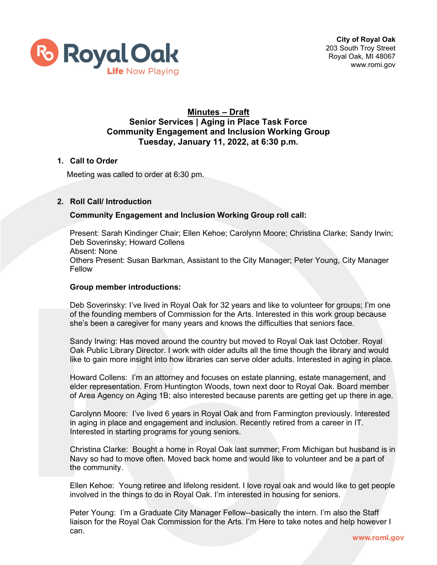

## **Minutes – Draft Senior Services | Aging in Place Task Force Community Engagement and Inclusion Working Group Tuesday, January 11, 2022, at 6:30 p.m.**

## **1. Call to Order**

Meeting was called to order at 6:30 pm.

### **2. Roll Call/ Introduction**

### **Community Engagement and Inclusion Working Group roll call:**

Present: Sarah Kindinger Chair; Ellen Kehoe; Carolynn Moore; Christina Clarke; Sandy Irwin; Deb Soverinsky; Howard Collens Absent: None Others Present: Susan Barkman, Assistant to the City Manager; Peter Young, City Manager Fellow

#### **Group member introductions:**

Deb Soverinsky: I've lived in Royal Oak for 32 years and like to volunteer for groups; I'm one of the founding members of Commission for the Arts. Interested in this work group because she's been a caregiver for many years and knows the difficulties that seniors face.

Sandy Irwing: Has moved around the country but moved to Royal Oak last October. Royal Oak Public Library Director. I work with older adults all the time though the library and would like to gain more insight into how libraries can serve older adults. Interested in aging in place.

Howard Collens: I'm an attorney and focuses on estate planning, estate management, and elder representation. From Huntington Woods, town next door to Royal Oak. Board member of Area Agency on Aging 1B; also interested because parents are getting get up there in age.

Carolynn Moore: I've lived 6 years in Royal Oak and from Farmington previously. Interested in aging in place and engagement and inclusion. Recently retired from a career in IT. Interested in starting programs for young seniors.

Christina Clarke: Bought a home in Royal Oak last summer; From Michigan but husband is in Navy so had to move often. Moved back home and would like to volunteer and be a part of the community.

Ellen Kehoe: Young retiree and lifelong resident. I love royal oak and would like to get people involved in the things to do in Royal Oak. I'm interested in housing for seniors.

Peter Young: I'm a Graduate City Manager Fellow--basically the intern. I'm also the Staff liaison for the Royal Oak Commission for the Arts. I'm Here to take notes and help however I can.www.romi.gov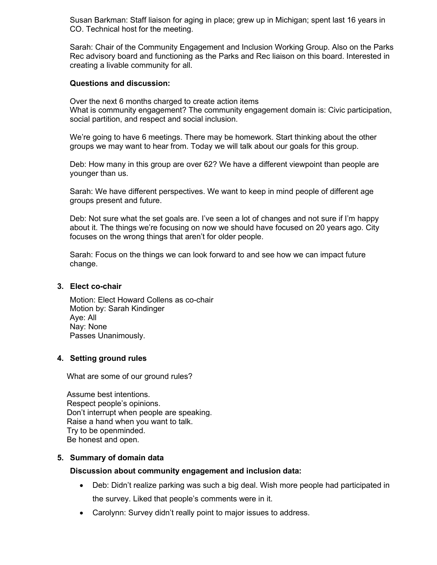Susan Barkman: Staff liaison for aging in place; grew up in Michigan; spent last 16 years in CO. Technical host for the meeting.

Sarah: Chair of the Community Engagement and Inclusion Working Group. Also on the Parks Rec advisory board and functioning as the Parks and Rec liaison on this board. Interested in creating a livable community for all.

#### **Questions and discussion:**

Over the next 6 months charged to create action items What is community engagement? The community engagement domain is: Civic participation, social partition, and respect and social inclusion.

We're going to have 6 meetings. There may be homework. Start thinking about the other groups we may want to hear from. Today we will talk about our goals for this group.

Deb: How many in this group are over 62? We have a different viewpoint than people are younger than us.

Sarah: We have different perspectives. We want to keep in mind people of different age groups present and future.

Deb: Not sure what the set goals are. I've seen a lot of changes and not sure if I'm happy about it. The things we're focusing on now we should have focused on 20 years ago. City focuses on the wrong things that aren't for older people.

Sarah: Focus on the things we can look forward to and see how we can impact future change.

### **3. Elect co-chair**

Motion: Elect Howard Collens as co-chair Motion by: Sarah Kindinger Aye: All Nay: None Passes Unanimously.

#### **4. Setting ground rules**

What are some of our ground rules?

Assume best intentions. Respect people's opinions. Don't interrupt when people are speaking. Raise a hand when you want to talk. Try to be openminded. Be honest and open.

#### **5. Summary of domain data**

#### **Discussion about community engagement and inclusion data:**

- Deb: Didn't realize parking was such a big deal. Wish more people had participated in the survey. Liked that people's comments were in it.
- Carolynn: Survey didn't really point to major issues to address.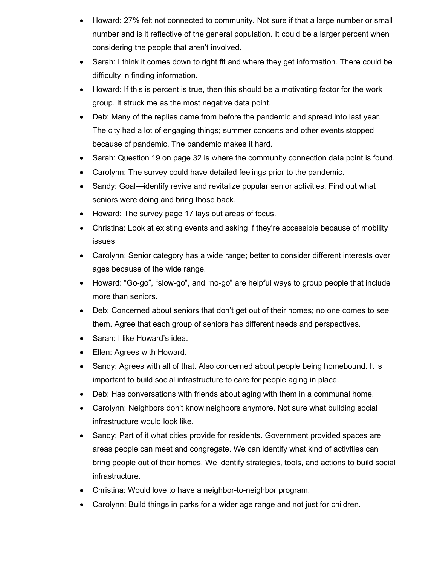- Howard: 27% felt not connected to community. Not sure if that a large number or small number and is it reflective of the general population. It could be a larger percent when considering the people that aren't involved.
- Sarah: I think it comes down to right fit and where they get information. There could be difficulty in finding information.
- Howard: If this is percent is true, then this should be a motivating factor for the work group. It struck me as the most negative data point.
- Deb: Many of the replies came from before the pandemic and spread into last year. The city had a lot of engaging things; summer concerts and other events stopped because of pandemic. The pandemic makes it hard.
- Sarah: Question 19 on page 32 is where the community connection data point is found.
- Carolynn: The survey could have detailed feelings prior to the pandemic.
- Sandy: Goal—identify revive and revitalize popular senior activities. Find out what seniors were doing and bring those back.
- Howard: The survey page 17 lays out areas of focus.
- Christina: Look at existing events and asking if they're accessible because of mobility issues
- Carolynn: Senior category has a wide range; better to consider different interests over ages because of the wide range.
- Howard: "Go-go", "slow-go", and "no-go" are helpful ways to group people that include more than seniors.
- Deb: Concerned about seniors that don't get out of their homes; no one comes to see them. Agree that each group of seniors has different needs and perspectives.
- Sarah: I like Howard's idea.
- Ellen: Agrees with Howard.
- Sandy: Agrees with all of that. Also concerned about people being homebound. It is important to build social infrastructure to care for people aging in place.
- Deb: Has conversations with friends about aging with them in a communal home.
- Carolynn: Neighbors don't know neighbors anymore. Not sure what building social infrastructure would look like.
- Sandy: Part of it what cities provide for residents. Government provided spaces are areas people can meet and congregate. We can identify what kind of activities can bring people out of their homes. We identify strategies, tools, and actions to build social infrastructure.
- Christina: Would love to have a neighbor-to-neighbor program.
- Carolynn: Build things in parks for a wider age range and not just for children.